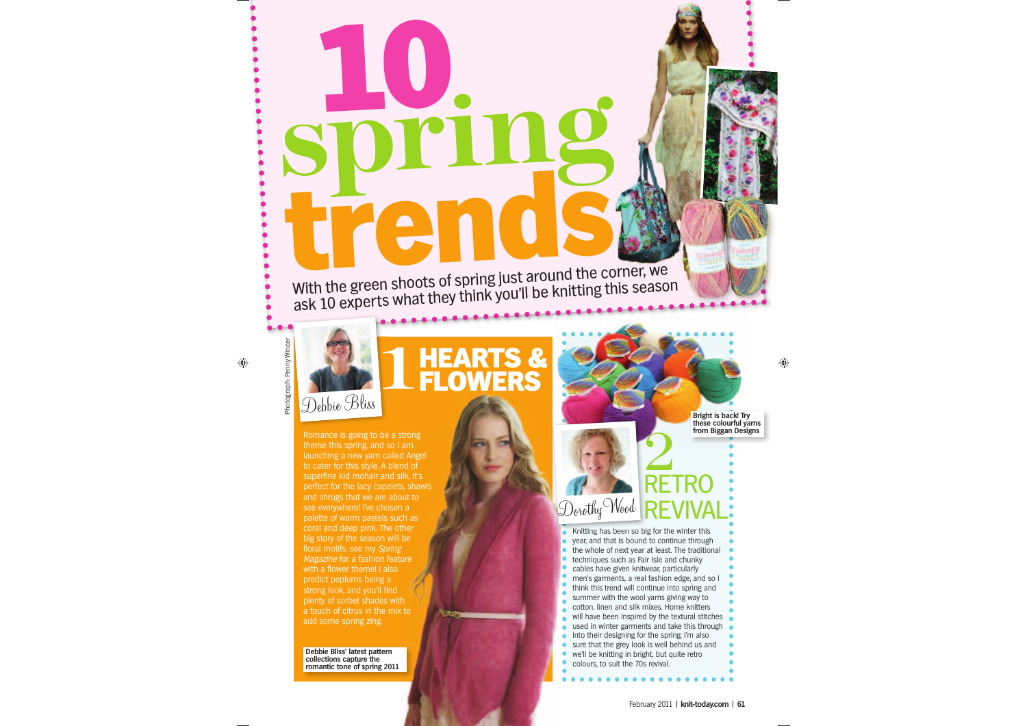Knitting has been so big for the winter this year, and that is bound to continue through the whole of next year at least. The traditional techniques such as Fair Isle and chunky cables have given knitwear, particularly men's garments, a real fashion edge, and so I think this trend will continue into spring and summer with the wool yarns giving way to cotton, linen and silk mixes. Home knitters will have been inspired by the textural stitches used in winter garments and take this through **into their designing for the spring. I'm also** sure that the grey look is well behind us and we'll be knitting in bright, but quite retro

# **10** With the green shoots of spring just around the corner, we ask 10 experts what they think you'll be knitting this season

 $\bigoplus$ 

Romance is going to be a strong theme this spring, and so I am launching a new yarn called Angel to cater for this style. A blend of superfine kid mohair and silk, it's perfect for the lacy capelets, shawls and shrugs that we are about to d Angel<br>nd of Debbie Bliss

see everywhere! I've chosen a coral and deep pink. The other big story of the season will be floral motifs; see my Spring Magazine for a fashion feature<br>with a flower theme! I also<br>predict peplums being a<br>strong look, and you'll find<br>plentv of sorbet shades with with a flower theme! I also predict peplums being a strong look, and you'll find plenty of sorbet shades with a touch of citrus in the mix to add some spring zing. n a<br>ch as<br>ther<br>be

colours, to suit the 70s revival.

 $\bullet$  $\bullet$ 



⊕

**Expertise Section** 

# **HEARTS & 1FLOWERS**

RETRO

REVIVAL

2

**Debbie Bliss' latest pattern collections capture the romantic tone of spring 2011** **Bright is back! Try these colourful yarns from Biggan Designs**

Photograph: Penny Wincer

Photograph:

å

 $\overline{\overline{}}$ 

Dorothy Wood